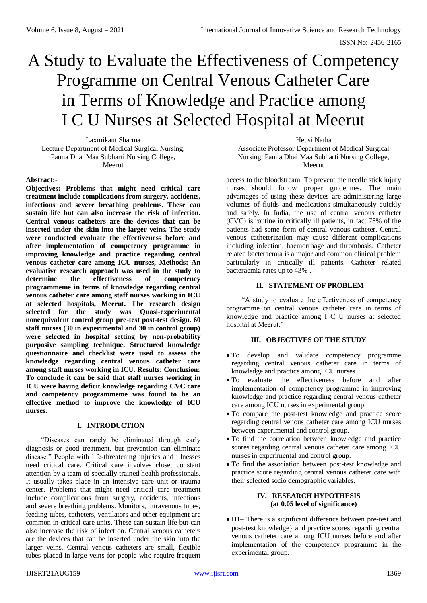# A Study to Evaluate the Effectiveness of Competency Programme on Central Venous Catheter Care in Terms of Knowledge and Practice among I C U Nurses at Selected Hospital at Meerut

Laxmikant Sharma Lecture Department of Medical Surgical Nursing, Panna Dhai Maa Subharti Nursing College, Meerut

Hepsi Natha

Associate Professor Department of Medical Surgical Nursing, Panna Dhai Maa Subharti Nursing College, Meerut

# **Abstract:-**

**Objectives: Problems that might need critical care treatment include complications from surgery, accidents, infections and severe breathing problems. These can sustain life but can also increase the risk of infection. Central venous catheters are the devices that can be inserted under the skin into the larger veins. The study were conducted evaluate the effectiveness before and after implementation of competency programme in improving knowledge and practice regarding central venous catheter care among ICU nurses, Methods: An evaluative research approach was used in the study to determine the effectiveness of competency programmeme in terms of knowledge regarding central venous catheter care among staff nurses working in ICU at selected hospitals, Meerut. The research design selected for the study was Quasi-experimental nonequivalent control group pre-test post-test design. 60 staff nurses (30 in experimental and 30 in control group) were selected in hospital setting by non-probability purposive sampling technique. Structured knowledge questionnaire and checklist were used to assess the knowledge regarding central venous catheter care among staff nurses working in ICU. Results: Conclusion: To conclude it can be said that staff nurses working in ICU were having deficit knowledge regarding CVC care and competency programmeme was found to be an effective method to improve the knowledge of ICU nurses.**

#### **I. INTRODUCTION**

"Diseases can rarely be eliminated through early diagnosis or good treatment, but prevention can eliminate disease." People with life-threatening injuries and illnesses need critical care. Critical care involves close, constant attention by a team of specially-trained health professionals. It usually takes place in an intensive care unit or trauma center. Problems that might need critical care treatment include complications from surgery, accidents, infections and severe breathing problems. Monitors, intravenous tubes, feeding tubes, catheters, ventilators and other equipment are common in critical care units. These can sustain life but can also increase the risk of infection. Central venous catheters are the devices that can be inserted under the skin into the larger veins. Central venous catheters are small, flexible tubes placed in large veins for people who require frequent

access to the bloodstream. To prevent the needle stick injury nurses should follow proper guidelines. The main advantages of using these devices are administering large volumes of fluids and medications simultaneously quickly and safely. In India, the use of central venous catheter (CVC) is routine in critically ill patients, in fact 78% of the patients had some form of central venous catheter. Central venous catheterization may cause different complications including infection, haemorrhage and thrombosis. Catheter related bacteraemia is a major and common clinical problem particularly in critically ill patients. Catheter related bacteraemia rates up to 43% .

# **II. STATEMENT OF PROBLEM**

"A study to evaluate the effectiveness of competency programme on central venous catheter care in terms of knowledge and practice among I C U nurses at selected hospital at Meerut."

# **III. OBJECTIVES OF THE STUDY**

- To develop and validate competency programme regarding central venous catheter care in terms of knowledge and practice among ICU nurses.
- To evaluate the effectiveness before and after implementation of competency programme in improving knowledge and practice regarding central venous catheter care among ICU nurses in experimental group.
- To compare the post-test knowledge and practice score regarding central venous catheter care among ICU nurses between experimental and control group.
- To find the correlation between knowledge and practice scores regarding central venous catheter care among ICU nurses in experimental and control group.
- To find the association between post-test knowledge and practice score regarding central venous catheter care with their selected socio demographic variables.

# **IV. RESEARCH HYPOTHESIS (at 0.05 level of significance)**

 H1– There is a significant difference between pre-test and post-test knowledge} and practice scores regarding central venous catheter care among ICU nurses before and after implementation of the competency programme in the experimental group.